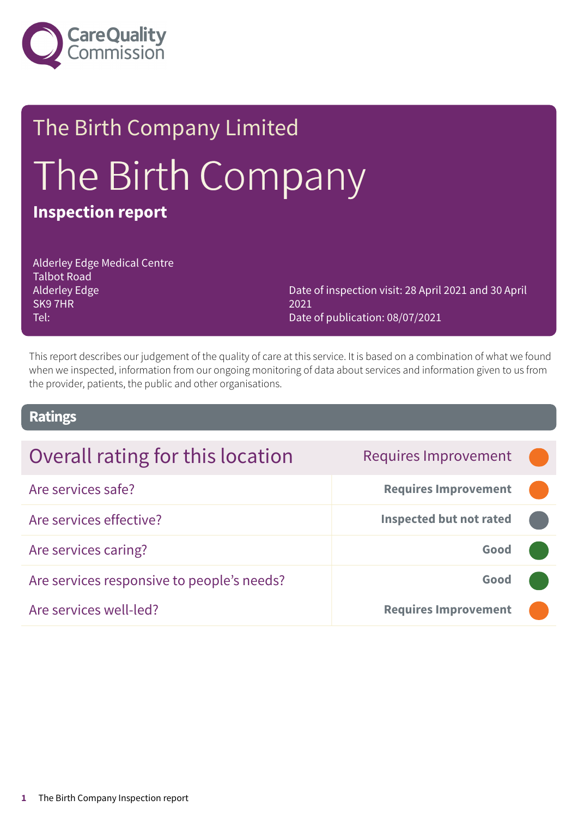

# The Birth Company Limited The Birth Company **Inspection report**

Alderley Edge Medical Centre Talbot Road Alderley Edge SK9 7HR Tel:

Date of inspection visit: 28 April 2021 and 30 April 2021 Date of publication: 08/07/2021

This report describes our judgement of the quality of care at this service. It is based on a combination of what we found when we inspected, information from our ongoing monitoring of data about services and information given to us from the provider, patients, the public and other organisations.

### **Ratings**

| Overall rating for this location           | <b>Requires Improvement</b>    |  |
|--------------------------------------------|--------------------------------|--|
| Are services safe?                         | <b>Requires Improvement</b>    |  |
| Are services effective?                    | <b>Inspected but not rated</b> |  |
| Are services caring?                       | Good                           |  |
| Are services responsive to people's needs? | Good                           |  |
| Are services well-led?                     | <b>Requires Improvement</b>    |  |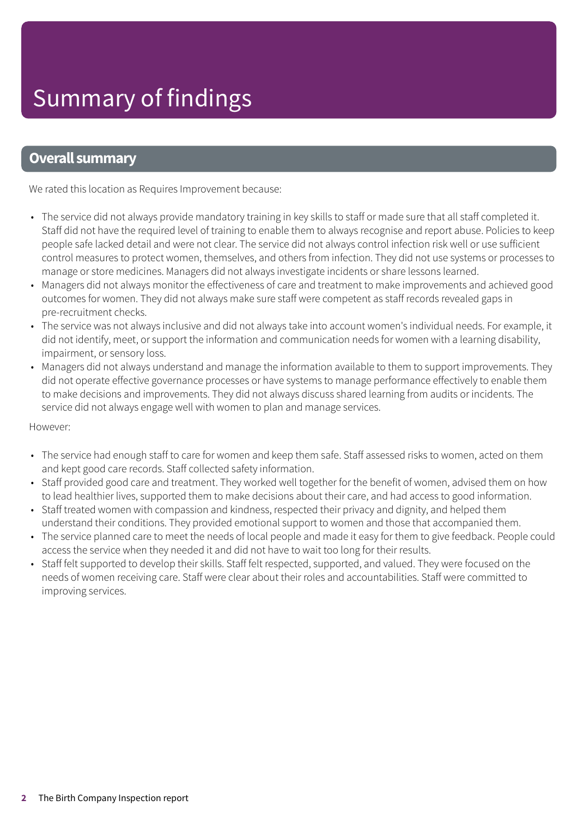### **Overall summary**

We rated this location as Requires Improvement because:

- The service did not always provide mandatory training in key skills to staff or made sure that all staff completed it. Staff did not have the required level of training to enable them to always recognise and report abuse. Policies to keep people safe lacked detail and were not clear. The service did not always control infection risk well or use sufficient control measures to protect women, themselves, and others from infection. They did not use systems or processes to manage or store medicines. Managers did not always investigate incidents or share lessons learned.
- Managers did not always monitor the effectiveness of care and treatment to make improvements and achieved good outcomes for women. They did not always make sure staff were competent as staff records revealed gaps in pre-recruitment checks.
- The service was not always inclusive and did not always take into account women's individual needs. For example, it did not identify, meet, or support the information and communication needs for women with a learning disability, impairment, or sensory loss.
- Managers did not always understand and manage the information available to them to support improvements. They did not operate effective governance processes or have systems to manage performance effectively to enable them to make decisions and improvements. They did not always discuss shared learning from audits or incidents. The service did not always engage well with women to plan and manage services.

#### However:

- The service had enough staff to care for women and keep them safe. Staff assessed risks to women, acted on them and kept good care records. Staff collected safety information.
- Staff provided good care and treatment. They worked well together for the benefit of women, advised them on how to lead healthier lives, supported them to make decisions about their care, and had access to good information.
- Staff treated women with compassion and kindness, respected their privacy and dignity, and helped them understand their conditions. They provided emotional support to women and those that accompanied them.
- The service planned care to meet the needs of local people and made it easy for them to give feedback. People could access the service when they needed it and did not have to wait too long for their results.
- Staff felt supported to develop their skills. Staff felt respected, supported, and valued. They were focused on the needs of women receiving care. Staff were clear about their roles and accountabilities. Staff were committed to improving services.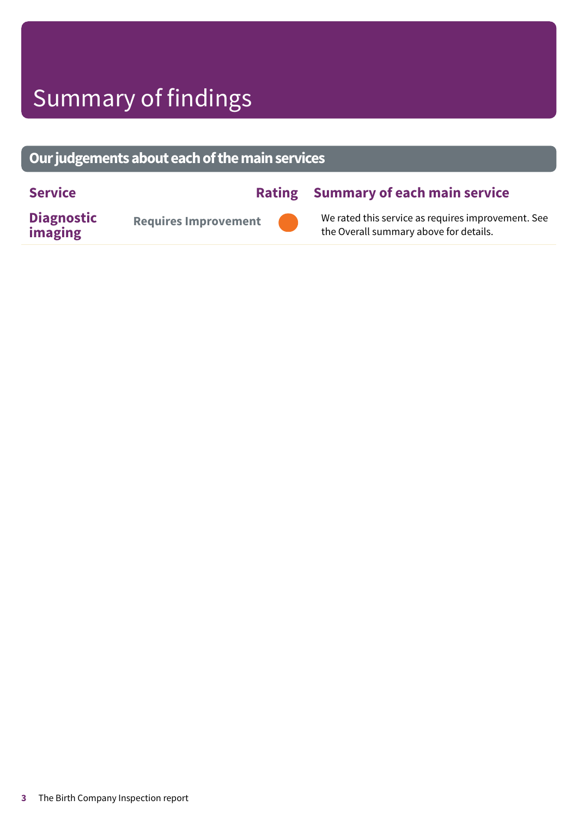# Summary of findings

### **Ourjudgementsabouteachofthemainservices**

### **Service Rating Summary of each main service**

**Diagnostic imaging**

**Requires Improvement –––**



We rated this service as requires improvement. See the Overall summary above for details.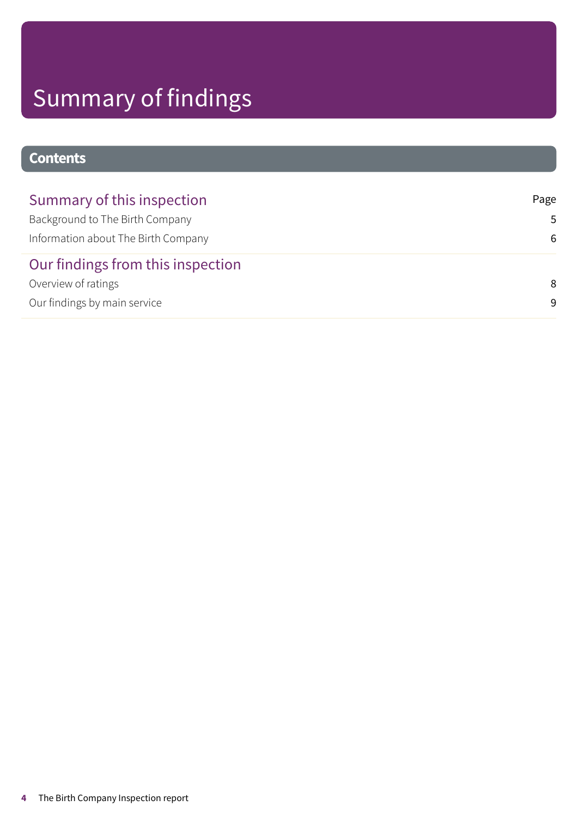# Summary of findings

### **Contents**

| Summary of this inspection          | Page |
|-------------------------------------|------|
| Background to The Birth Company     | .5.  |
| Information about The Birth Company | 6    |
| Our findings from this inspection   |      |
| Overview of ratings                 | 8    |
| Our findings by main service        | -9   |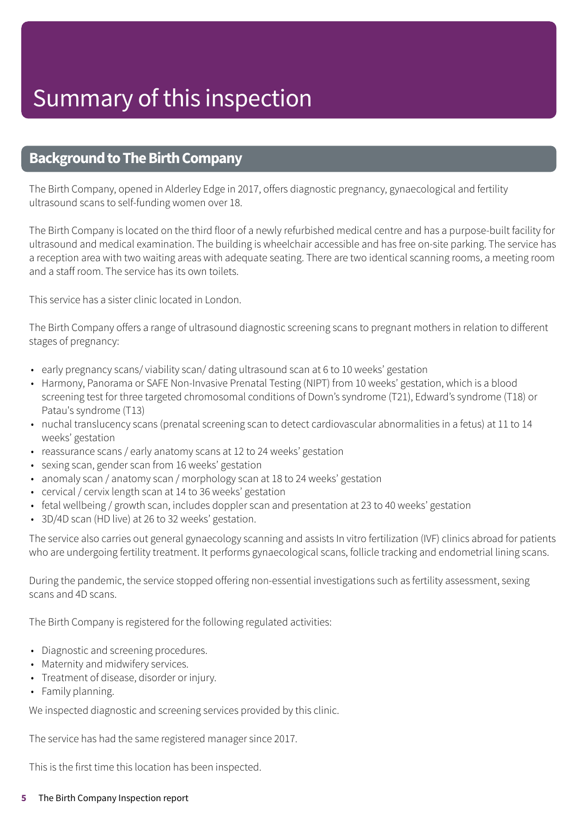### <span id="page-4-0"></span>**Background to The Birth Company**

The Birth Company, opened in Alderley Edge in 2017, offers diagnostic pregnancy, gynaecological and fertility ultrasound scans to self-funding women over 18.

The Birth Company is located on the third floor of a newly refurbished medical centre and has a purpose-built facility for ultrasound and medical examination. The building is wheelchair accessible and has free on-site parking. The service has a reception area with two waiting areas with adequate seating. There are two identical scanning rooms, a meeting room and a staff room. The service has its own toilets.

This service has a sister clinic located in London.

The Birth Company offers a range of ultrasound diagnostic screening scans to pregnant mothers in relation to different stages of pregnancy:

- early pregnancy scans/ viability scan/ dating ultrasound scan at 6 to 10 weeks' gestation
- Harmony, Panorama or SAFE Non-Invasive Prenatal Testing (NIPT) from 10 weeks' gestation, which is a blood screening test for three targeted chromosomal conditions of Down's syndrome (T21), Edward's syndrome (T18) or Patau's syndrome (T13)
- nuchal translucency scans (prenatal screening scan to detect cardiovascular abnormalities in a fetus) at 11 to 14 weeks' gestation
- reassurance scans / early anatomy scans at 12 to 24 weeks' gestation
- sexing scan, gender scan from 16 weeks' gestation
- anomaly scan / anatomy scan / morphology scan at 18 to 24 weeks' gestation
- cervical / cervix length scan at 14 to 36 weeks' gestation
- fetal wellbeing / growth scan, includes doppler scan and presentation at 23 to 40 weeks' gestation
- 3D/4D scan (HD live) at 26 to 32 weeks' gestation.

The service also carries out general gynaecology scanning and assists In vitro fertilization (IVF) clinics abroad for patients who are undergoing fertility treatment. It performs gynaecological scans, follicle tracking and endometrial lining scans.

During the pandemic, the service stopped offering non-essential investigations such as fertility assessment, sexing scans and 4D scans.

The Birth Company is registered for the following regulated activities:

- Diagnostic and screening procedures.
- Maternity and midwifery services.
- Treatment of disease, disorder or injury.
- Family planning.

We inspected diagnostic and screening services provided by this clinic.

The service has had the same registered manager since 2017.

This is the first time this location has been inspected.

#### **5** The Birth Company Inspection report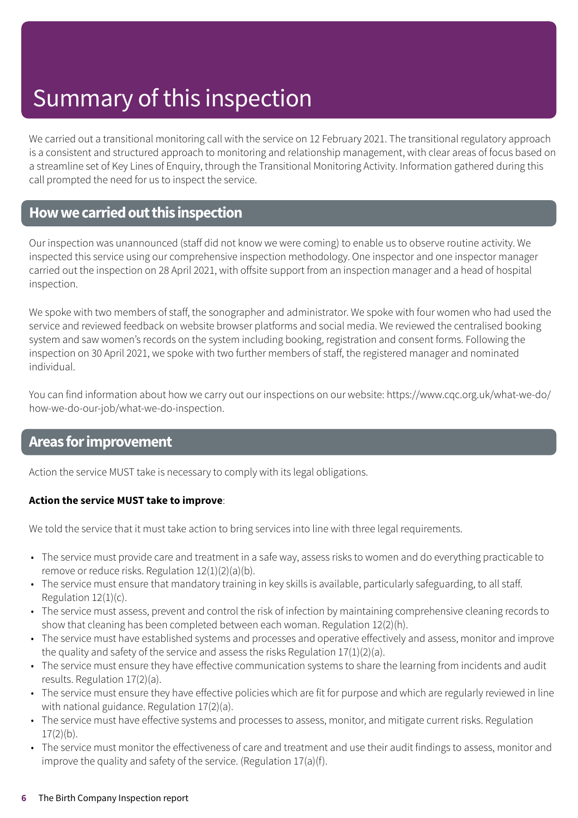# Summary of this inspection

We carried out a transitional monitoring call with the service on 12 February 2021. The transitional regulatory approach is a consistent and structured approach to monitoring and relationship management, with clear areas of focus based on a streamline set of Key Lines of Enquiry, through the Transitional Monitoring Activity. Information gathered during this call prompted the need for us to inspect the service.

### <span id="page-5-0"></span>**Howwecarriedoutthis inspection**

Our inspection was unannounced (staff did not know we were coming) to enable us to observe routine activity. We inspected this service using our comprehensive inspection methodology. One inspector and one inspector manager carried out the inspection on 28 April 2021, with offsite support from an inspection manager and a head of hospital inspection.

We spoke with two members of staff, the sonographer and administrator. We spoke with four women who had used the service and reviewed feedback on website browser platforms and social media. We reviewed the centralised booking system and saw women's records on the system including booking, registration and consent forms. Following the inspection on 30 April 2021, we spoke with two further members of staff, the registered manager and nominated individual.

You can find information about how we carry out our inspections on our website: https://www.cqc.org.uk/what-we-do/ how-we-do-our-job/what-we-do-inspection.

### **Areas forimprovement**

Action the service MUST take is necessary to comply with its legal obligations.

#### **Action the service MUST take to improve**:

We told the service that it must take action to bring services into line with three legal requirements.

- The service must provide care and treatment in a safe way, assess risks to women and do everything practicable to remove or reduce risks. Regulation 12(1)(2)(a)(b).
- The service must ensure that mandatory training in key skills is available, particularly safeguarding, to all staff. Regulation 12(1)(c).
- The service must assess, prevent and control the risk of infection by maintaining comprehensive cleaning records to show that cleaning has been completed between each woman. Regulation 12(2)(h).
- The service must have established systems and processes and operative effectively and assess, monitor and improve the quality and safety of the service and assess the risks Regulation 17(1)(2)(a).
- The service must ensure they have effective communication systems to share the learning from incidents and audit results. Regulation 17(2)(a).
- The service must ensure they have effective policies which are fit for purpose and which are regularly reviewed in line with national guidance. Regulation 17(2)(a).
- The service must have effective systems and processes to assess, monitor, and mitigate current risks. Regulation  $17(2)(h)$ .
- The service must monitor the effectiveness of care and treatment and use their audit findings to assess, monitor and improve the quality and safety of the service. (Regulation 17(a)(f).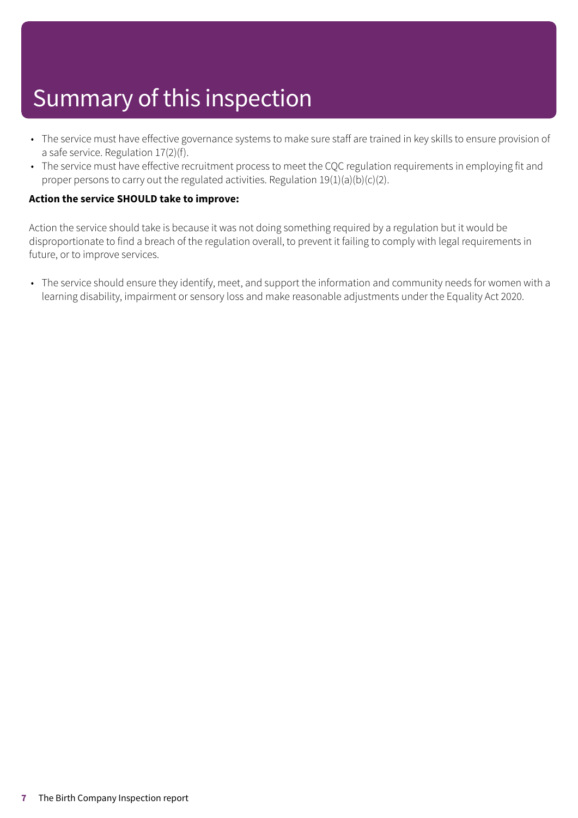# Summary of this inspection

- The service must have effective governance systems to make sure staff are trained in key skills to ensure provision of a safe service. Regulation 17(2)(f).
- The service must have effective recruitment process to meet the CQC regulation requirements in employing fit and proper persons to carry out the regulated activities. Regulation 19(1)(a)(b)(c)(2).

#### **Action the service SHOULD take to improve:**

Action the service should take is because it was not doing something required by a regulation but it would be disproportionate to find a breach of the regulation overall, to prevent it failing to comply with legal requirements in future, or to improve services.

• The service should ensure they identify, meet, and support the information and community needs for women with a learning disability, impairment or sensory loss and make reasonable adjustments under the Equality Act 2020.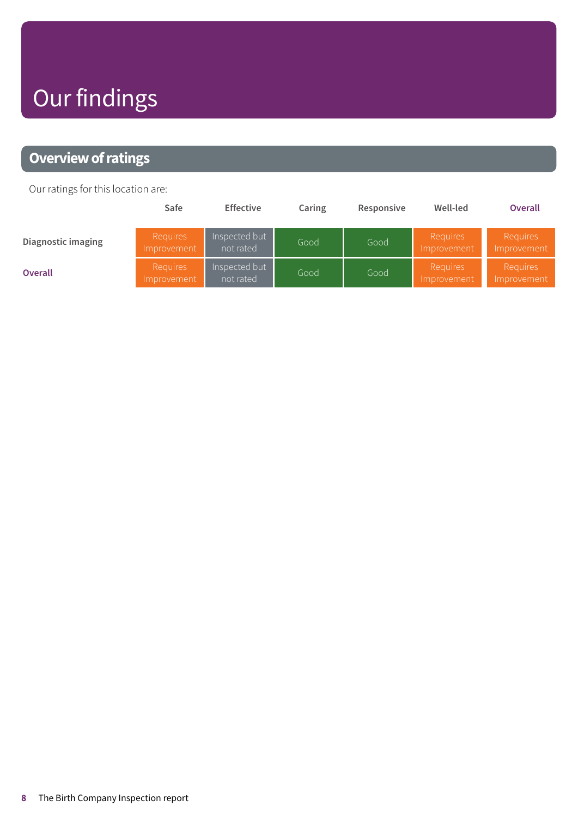# Our findings

### <span id="page-7-0"></span>**Overview of ratings**

Our ratings for this location are:

|                    | Safe                           | <b>Effective</b>           | Caring | Responsive | Well-led                | <b>Overall</b>                 |
|--------------------|--------------------------------|----------------------------|--------|------------|-------------------------|--------------------------------|
| Diagnostic imaging | Requires<br>Improvement        | Inspected but<br>not rated | Good   | Good       | Requires<br>Improvement | Requires<br>Improvement        |
| <b>Overall</b>     | <b>Requires</b><br>Improvement | Inspected but<br>not rated | Good   | Good       | Requires<br>Improvement | <b>Requires</b><br>Improvement |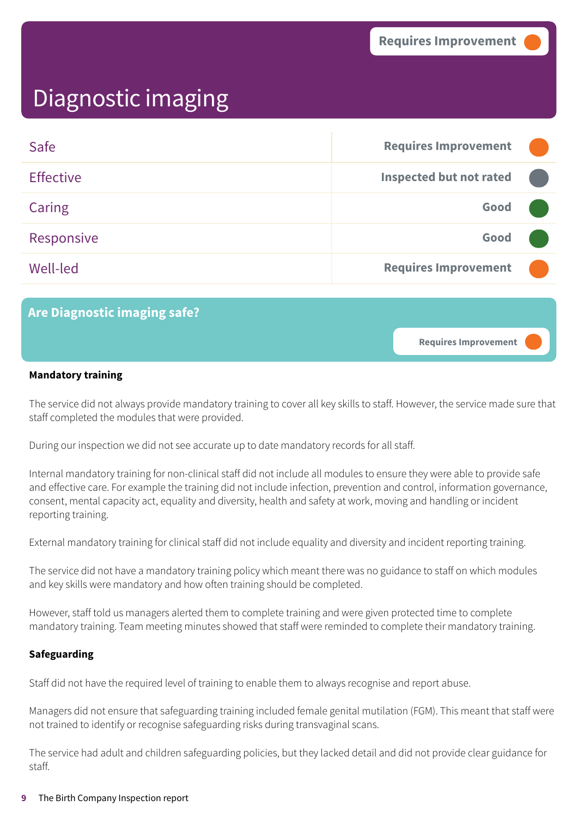**Requires Improvement –––**

### <span id="page-8-0"></span>Diagnostic imaging

| Safe             | <b>Requires Improvement</b>    |  |
|------------------|--------------------------------|--|
| <b>Effective</b> | <b>Inspected but not rated</b> |  |
| Caring           | Good                           |  |
| Responsive       | Good                           |  |
| Well-led         | <b>Requires Improvement</b>    |  |

### **Are Diagnostic imaging safe?**

#### **Mandatory training**

The service did not always provide mandatory training to cover all key skills to staff. However, the service made sure that staff completed the modules that were provided.

During our inspection we did not see accurate up to date mandatory records for all staff.

Internal mandatory training for non-clinical staff did not include all modules to ensure they were able to provide safe and effective care. For example the training did not include infection, prevention and control, information governance, consent, mental capacity act, equality and diversity, health and safety at work, moving and handling or incident reporting training.

External mandatory training for clinical staff did not include equality and diversity and incident reporting training.

The service did not have a mandatory training policy which meant there was no guidance to staff on which modules and key skills were mandatory and how often training should be completed.

However, staff told us managers alerted them to complete training and were given protected time to complete mandatory training. Team meeting minutes showed that staff were reminded to complete their mandatory training.

#### **Safeguarding**

Staff did not have the required level of training to enable them to always recognise and report abuse.

Managers did not ensure that safeguarding training included female genital mutilation (FGM). This meant that staff were not trained to identify or recognise safeguarding risks during transvaginal scans.

The service had adult and children safeguarding policies, but they lacked detail and did not provide clear guidance for staff.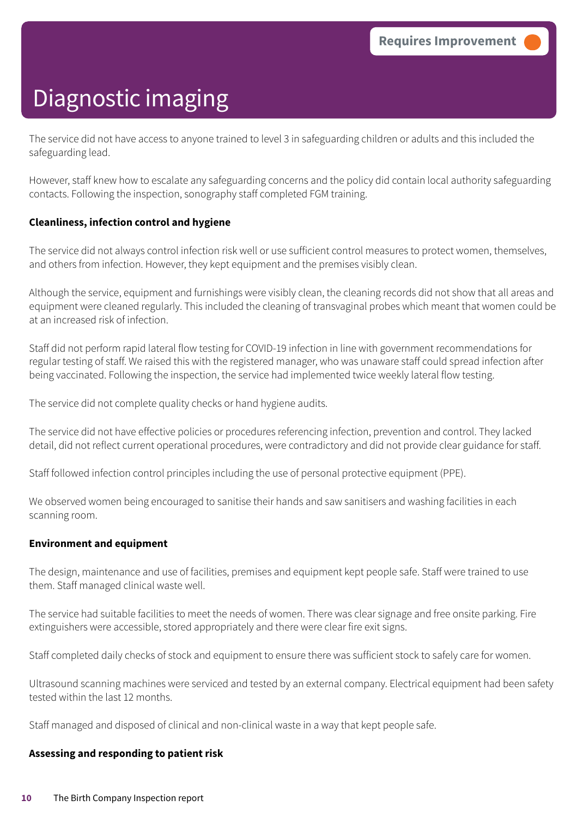The service did not have access to anyone trained to level 3 in safeguarding children or adults and this included the safeguarding lead.

However, staff knew how to escalate any safeguarding concerns and the policy did contain local authority safeguarding contacts. Following the inspection, sonography staff completed FGM training.

#### **Cleanliness, infection control and hygiene**

The service did not always control infection risk well or use sufficient control measures to protect women, themselves, and others from infection. However, they kept equipment and the premises visibly clean.

Although the service, equipment and furnishings were visibly clean, the cleaning records did not show that all areas and equipment were cleaned regularly. This included the cleaning of transvaginal probes which meant that women could be at an increased risk of infection.

Staff did not perform rapid lateral flow testing for COVID-19 infection in line with government recommendations for regular testing of staff. We raised this with the registered manager, who was unaware staff could spread infection after being vaccinated. Following the inspection, the service had implemented twice weekly lateral flow testing.

The service did not complete quality checks or hand hygiene audits.

The service did not have effective policies or procedures referencing infection, prevention and control. They lacked detail, did not reflect current operational procedures, were contradictory and did not provide clear guidance for staff.

Staff followed infection control principles including the use of personal protective equipment (PPE).

We observed women being encouraged to sanitise their hands and saw sanitisers and washing facilities in each scanning room.

#### **Environment and equipment**

The design, maintenance and use of facilities, premises and equipment kept people safe. Staff were trained to use them. Staff managed clinical waste well.

The service had suitable facilities to meet the needs of women. There was clear signage and free onsite parking. Fire extinguishers were accessible, stored appropriately and there were clear fire exit signs.

Staff completed daily checks of stock and equipment to ensure there was sufficient stock to safely care for women.

Ultrasound scanning machines were serviced and tested by an external company. Electrical equipment had been safety tested within the last 12 months.

Staff managed and disposed of clinical and non-clinical waste in a way that kept people safe.

#### **Assessing and responding to patient risk**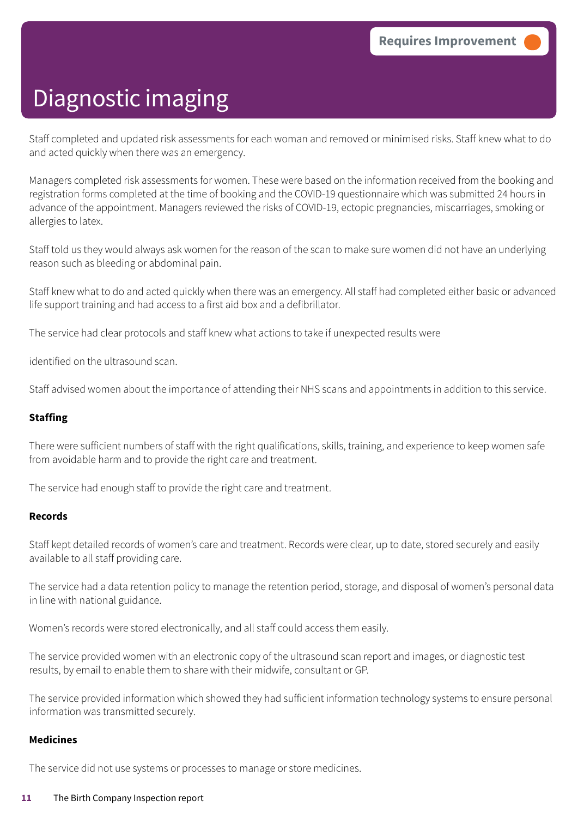Staff completed and updated risk assessments for each woman and removed or minimised risks. Staff knew what to do and acted quickly when there was an emergency.

Managers completed risk assessments for women. These were based on the information received from the booking and registration forms completed at the time of booking and the COVID-19 questionnaire which was submitted 24 hours in advance of the appointment. Managers reviewed the risks of COVID-19, ectopic pregnancies, miscarriages, smoking or allergies to latex.

Staff told us they would always ask women for the reason of the scan to make sure women did not have an underlying reason such as bleeding or abdominal pain.

Staff knew what to do and acted quickly when there was an emergency. All staff had completed either basic or advanced life support training and had access to a first aid box and a defibrillator.

The service had clear protocols and staff knew what actions to take if unexpected results were

identified on the ultrasound scan.

Staff advised women about the importance of attending their NHS scans and appointments in addition to this service.

#### **Staffing**

There were sufficient numbers of staff with the right qualifications, skills, training, and experience to keep women safe from avoidable harm and to provide the right care and treatment.

The service had enough staff to provide the right care and treatment.

#### **Records**

Staff kept detailed records of women's care and treatment. Records were clear, up to date, stored securely and easily available to all staff providing care.

The service had a data retention policy to manage the retention period, storage, and disposal of women's personal data in line with national guidance.

Women's records were stored electronically, and all staff could access them easily.

The service provided women with an electronic copy of the ultrasound scan report and images, or diagnostic test results, by email to enable them to share with their midwife, consultant or GP.

The service provided information which showed they had sufficient information technology systems to ensure personal information was transmitted securely.

#### **Medicines**

The service did not use systems or processes to manage or store medicines.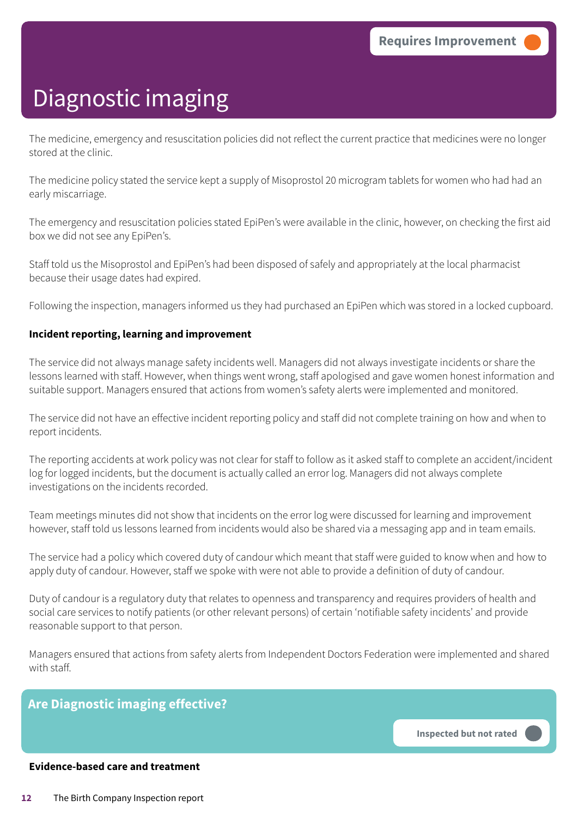The medicine, emergency and resuscitation policies did not reflect the current practice that medicines were no longer stored at the clinic.

The medicine policy stated the service kept a supply of Misoprostol 20 microgram tablets for women who had had an early miscarriage.

The emergency and resuscitation policies stated EpiPen's were available in the clinic, however, on checking the first aid box we did not see any EpiPen's.

Staff told us the Misoprostol and EpiPen's had been disposed of safely and appropriately at the local pharmacist because their usage dates had expired.

Following the inspection, managers informed us they had purchased an EpiPen which was stored in a locked cupboard.

#### **Incident reporting, learning and improvement**

The service did not always manage safety incidents well. Managers did not always investigate incidents or share the lessons learned with staff. However, when things went wrong, staff apologised and gave women honest information and suitable support. Managers ensured that actions from women's safety alerts were implemented and monitored.

The service did not have an effective incident reporting policy and staff did not complete training on how and when to report incidents.

The reporting accidents at work policy was not clear for staff to follow as it asked staff to complete an accident/incident log for logged incidents, but the document is actually called an error log. Managers did not always complete investigations on the incidents recorded.

Team meetings minutes did not show that incidents on the error log were discussed for learning and improvement however, staff told us lessons learned from incidents would also be shared via a messaging app and in team emails.

The service had a policy which covered duty of candour which meant that staff were guided to know when and how to apply duty of candour. However, staff we spoke with were not able to provide a definition of duty of candour.

Duty of candour is a regulatory duty that relates to openness and transparency and requires providers of health and social care services to notify patients (or other relevant persons) of certain 'notifiable safety incidents' and provide reasonable support to that person.

Managers ensured that actions from safety alerts from Independent Doctors Federation were implemented and shared with staff.

### **Are Diagnostic imaging effective?**

**Inspected but not rated –––**

#### **Evidence-based care and treatment**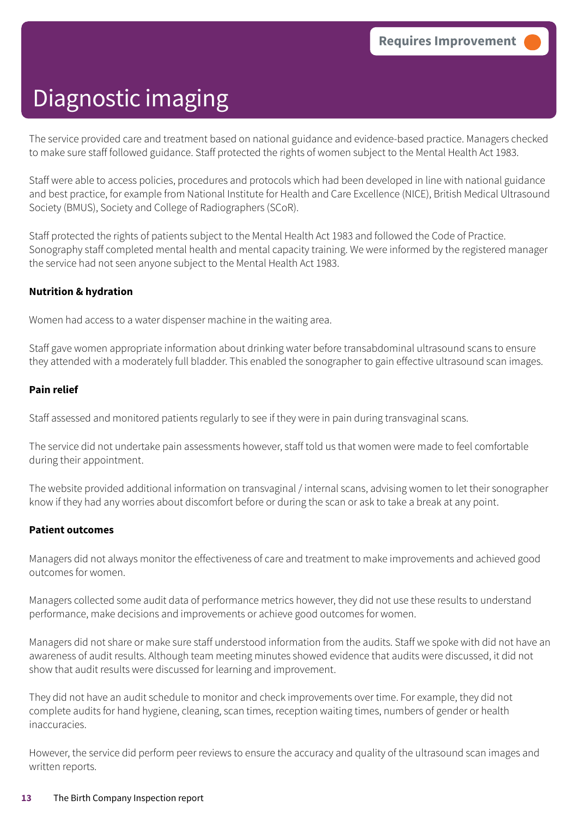The service provided care and treatment based on national guidance and evidence-based practice. Managers checked to make sure staff followed guidance. Staff protected the rights of women subject to the Mental Health Act 1983.

Staff were able to access policies, procedures and protocols which had been developed in line with national guidance and best practice, for example from National Institute for Health and Care Excellence (NICE), British Medical Ultrasound Society (BMUS), Society and College of Radiographers (SCoR).

Staff protected the rights of patients subject to the Mental Health Act 1983 and followed the Code of Practice. Sonography staff completed mental health and mental capacity training. We were informed by the registered manager the service had not seen anyone subject to the Mental Health Act 1983.

#### **Nutrition & hydration**

Women had access to a water dispenser machine in the waiting area.

Staff gave women appropriate information about drinking water before transabdominal ultrasound scans to ensure they attended with a moderately full bladder. This enabled the sonographer to gain effective ultrasound scan images.

#### **Pain relief**

Staff assessed and monitored patients regularly to see if they were in pain during transvaginal scans.

The service did not undertake pain assessments however, staff told us that women were made to feel comfortable during their appointment.

The website provided additional information on transvaginal / internal scans, advising women to let their sonographer know if they had any worries about discomfort before or during the scan or ask to take a break at any point.

#### **Patient outcomes**

Managers did not always monitor the effectiveness of care and treatment to make improvements and achieved good outcomes for women.

Managers collected some audit data of performance metrics however, they did not use these results to understand performance, make decisions and improvements or achieve good outcomes for women.

Managers did not share or make sure staff understood information from the audits. Staff we spoke with did not have an awareness of audit results. Although team meeting minutes showed evidence that audits were discussed, it did not show that audit results were discussed for learning and improvement.

They did not have an audit schedule to monitor and check improvements over time. For example, they did not complete audits for hand hygiene, cleaning, scan times, reception waiting times, numbers of gender or health inaccuracies.

However, the service did perform peer reviews to ensure the accuracy and quality of the ultrasound scan images and written reports.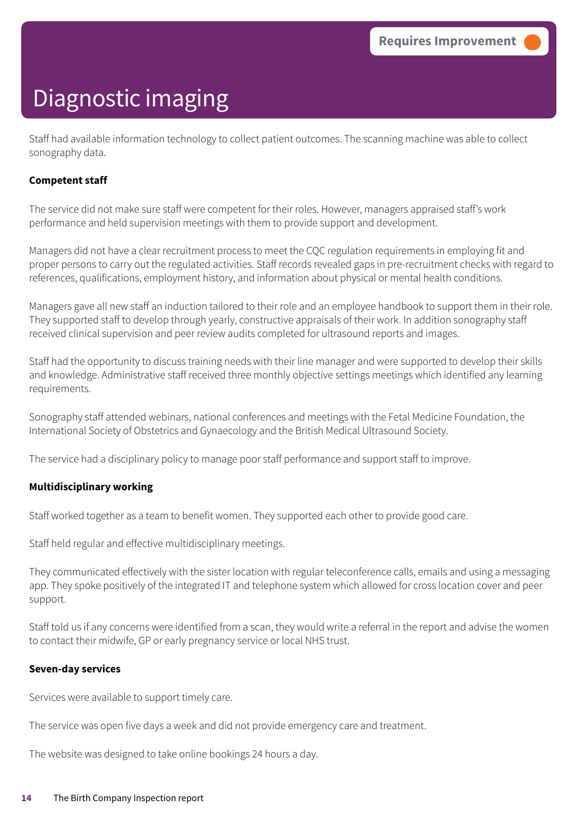Staff had available information technology to collect patient outcomes. The scanning machine was able to collect sonography data.

#### **Competent staff**

The service did not make sure staff were competent for their roles. However, managers appraised staff's work performance and held supervision meetings with them to provide support and development.

Managers did not have a clear recruitment process to meet the CQC regulation requirements in employing fit and proper persons to carry out the regulated activities. Staff records revealed gaps in pre-recruitment checks with regard to references, qualifications, employment history, and information about physical or mental health conditions.

Managers gave all new staff an induction tailored to their role and an employee handbook to support them in their role. They supported staff to develop through yearly, constructive appraisals of their work. In addition sonography staff received clinical supervision and peer review audits completed for ultrasound reports and images.

Staff had the opportunity to discuss training needs with their line manager and were supported to develop their skills and knowledge. Administrative staff received three monthly objective settings meetings which identified any learning requirements.

Sonography staff attended webinars, national conferences and meetings with the Fetal Medicine Foundation, the International Society of Obstetrics and Gynaecology and the British Medical Ultrasound Society.

The service had a disciplinary policy to manage poor staff performance and support staff to improve.

#### **Multidisciplinary working**

Staff worked together as a team to benefit women. They supported each other to provide good care.

Staff held regular and effective multidisciplinary meetings.

They communicated effectively with the sister location with regular teleconference calls, emails and using a messaging app. They spoke positively of the integrated IT and telephone system which allowed for cross location cover and peer support.

Staff told us if any concerns were identified from a scan, they would write a referral in the report and advise the women to contact their midwife, GP or early pregnancy service or local NHS trust.

#### **Seven-day services**

Services were available to support timely care.

The service was open five days a week and did not provide emergency care and treatment.

The website was designed to take online bookings 24 hours a day.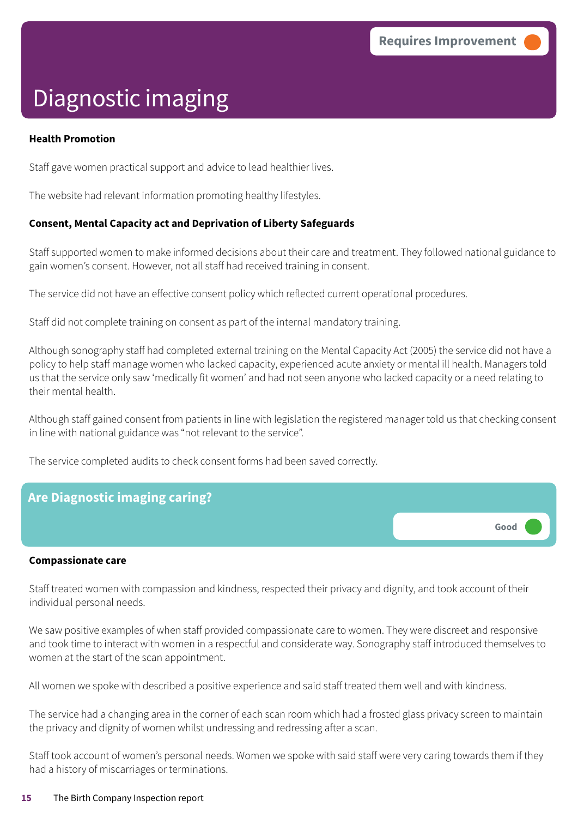**Good –––**

# Diagnostic imaging

#### **Health Promotion**

Staff gave women practical support and advice to lead healthier lives.

The website had relevant information promoting healthy lifestyles.

#### **Consent, Mental Capacity act and Deprivation of Liberty Safeguards**

Staff supported women to make informed decisions about their care and treatment. They followed national guidance to gain women's consent. However, not all staff had received training in consent.

The service did not have an effective consent policy which reflected current operational procedures.

Staff did not complete training on consent as part of the internal mandatory training.

Although sonography staff had completed external training on the Mental Capacity Act (2005) the service did not have a policy to help staff manage women who lacked capacity, experienced acute anxiety or mental ill health. Managers told us that the service only saw 'medically fit women' and had not seen anyone who lacked capacity or a need relating to their mental health.

Although staff gained consent from patients in line with legislation the registered manager told us that checking consent in line with national guidance was "not relevant to the service".

The service completed audits to check consent forms had been saved correctly.

### **Are Diagnostic imaging caring?**

#### **Compassionate care**

Staff treated women with compassion and kindness, respected their privacy and dignity, and took account of their individual personal needs.

We saw positive examples of when staff provided compassionate care to women. They were discreet and responsive and took time to interact with women in a respectful and considerate way. Sonography staff introduced themselves to women at the start of the scan appointment.

All women we spoke with described a positive experience and said staff treated them well and with kindness.

The service had a changing area in the corner of each scan room which had a frosted glass privacy screen to maintain the privacy and dignity of women whilst undressing and redressing after a scan.

Staff took account of women's personal needs. Women we spoke with said staff were very caring towards them if they had a history of miscarriages or terminations.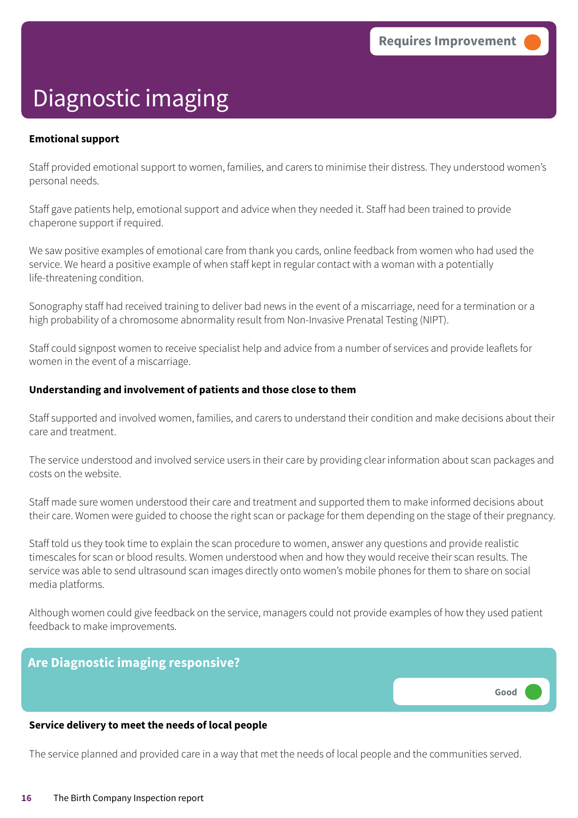**Good –––**

# Diagnostic imaging

#### **Emotional support**

Staff provided emotional support to women, families, and carers to minimise their distress. They understood women's personal needs.

Staff gave patients help, emotional support and advice when they needed it. Staff had been trained to provide chaperone support if required.

We saw positive examples of emotional care from thank you cards, online feedback from women who had used the service. We heard a positive example of when staff kept in regular contact with a woman with a potentially life-threatening condition.

Sonography staff had received training to deliver bad news in the event of a miscarriage, need for a termination or a high probability of a chromosome abnormality result from Non-Invasive Prenatal Testing (NIPT).

Staff could signpost women to receive specialist help and advice from a number of services and provide leaflets for women in the event of a miscarriage.

#### **Understanding and involvement of patients and those close to them**

Staff supported and involved women, families, and carers to understand their condition and make decisions about their care and treatment.

The service understood and involved service users in their care by providing clear information about scan packages and costs on the website.

Staff made sure women understood their care and treatment and supported them to make informed decisions about their care. Women were guided to choose the right scan or package for them depending on the stage of their pregnancy.

Staff told us they took time to explain the scan procedure to women, answer any questions and provide realistic timescales for scan or blood results. Women understood when and how they would receive their scan results. The service was able to send ultrasound scan images directly onto women's mobile phones for them to share on social media platforms.

Although women could give feedback on the service, managers could not provide examples of how they used patient feedback to make improvements.

#### **Are Diagnostic imaging responsive?**

#### **Service delivery to meet the needs of local people**

The service planned and provided care in a way that met the needs of local people and the communities served.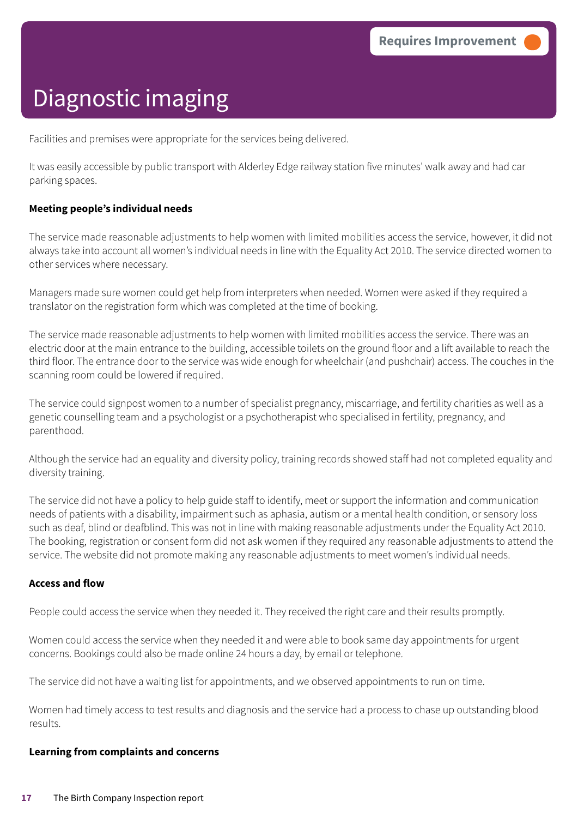Facilities and premises were appropriate for the services being delivered.

It was easily accessible by public transport with Alderley Edge railway station five minutes' walk away and had car parking spaces.

#### **Meeting people's individual needs**

The service made reasonable adjustments to help women with limited mobilities access the service, however, it did not always take into account all women's individual needs in line with the Equality Act 2010. The service directed women to other services where necessary.

Managers made sure women could get help from interpreters when needed. Women were asked if they required a translator on the registration form which was completed at the time of booking.

The service made reasonable adjustments to help women with limited mobilities access the service. There was an electric door at the main entrance to the building, accessible toilets on the ground floor and a lift available to reach the third floor. The entrance door to the service was wide enough for wheelchair (and pushchair) access. The couches in the scanning room could be lowered if required.

The service could signpost women to a number of specialist pregnancy, miscarriage, and fertility charities as well as a genetic counselling team and a psychologist or a psychotherapist who specialised in fertility, pregnancy, and parenthood.

Although the service had an equality and diversity policy, training records showed staff had not completed equality and diversity training.

The service did not have a policy to help guide staff to identify, meet or support the information and communication needs of patients with a disability, impairment such as aphasia, autism or a mental health condition, or sensory loss such as deaf, blind or deafblind. This was not in line with making reasonable adjustments under the Equality Act 2010. The booking, registration or consent form did not ask women if they required any reasonable adjustments to attend the service. The website did not promote making any reasonable adjustments to meet women's individual needs.

#### **Access and flow**

People could access the service when they needed it. They received the right care and their results promptly.

Women could access the service when they needed it and were able to book same day appointments for urgent concerns. Bookings could also be made online 24 hours a day, by email or telephone.

The service did not have a waiting list for appointments, and we observed appointments to run on time.

Women had timely access to test results and diagnosis and the service had a process to chase up outstanding blood results.

#### **Learning from complaints and concerns**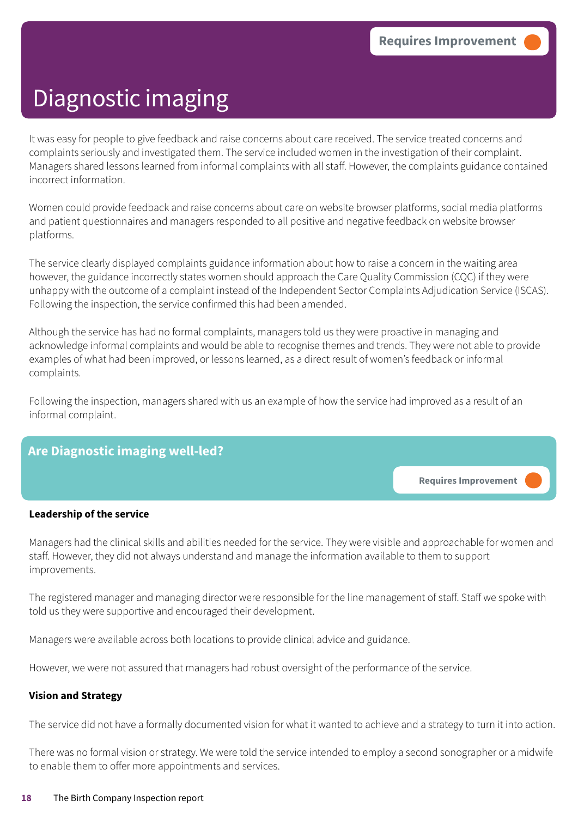It was easy for people to give feedback and raise concerns about care received. The service treated concerns and complaints seriously and investigated them. The service included women in the investigation of their complaint. Managers shared lessons learned from informal complaints with all staff. However, the complaints guidance contained incorrect information.

Women could provide feedback and raise concerns about care on website browser platforms, social media platforms and patient questionnaires and managers responded to all positive and negative feedback on website browser platforms.

The service clearly displayed complaints guidance information about how to raise a concern in the waiting area however, the guidance incorrectly states women should approach the Care Quality Commission (CQC) if they were unhappy with the outcome of a complaint instead of the Independent Sector Complaints Adjudication Service (ISCAS). Following the inspection, the service confirmed this had been amended.

Although the service has had no formal complaints, managers told us they were proactive in managing and acknowledge informal complaints and would be able to recognise themes and trends. They were not able to provide examples of what had been improved, or lessons learned, as a direct result of women's feedback or informal complaints.

Following the inspection, managers shared with us an example of how the service had improved as a result of an informal complaint.

### **Are Diagnostic imaging well-led?**

**Requires Improvement –––**

#### **Leadership of the service**

Managers had the clinical skills and abilities needed for the service. They were visible and approachable for women and staff. However, they did not always understand and manage the information available to them to support improvements.

The registered manager and managing director were responsible for the line management of staff. Staff we spoke with told us they were supportive and encouraged their development.

Managers were available across both locations to provide clinical advice and guidance.

However, we were not assured that managers had robust oversight of the performance of the service.

#### **Vision and Strategy**

The service did not have a formally documented vision for what it wanted to achieve and a strategy to turn it into action.

There was no formal vision or strategy. We were told the service intended to employ a second sonographer or a midwife to enable them to offer more appointments and services.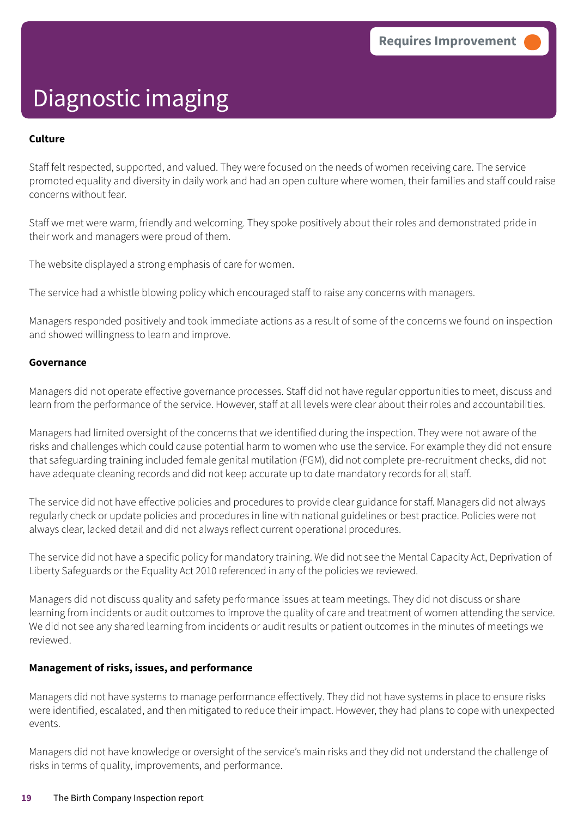#### **Culture**

Staff felt respected, supported, and valued. They were focused on the needs of women receiving care. The service promoted equality and diversity in daily work and had an open culture where women, their families and staff could raise concerns without fear.

Staff we met were warm, friendly and welcoming. They spoke positively about their roles and demonstrated pride in their work and managers were proud of them.

The website displayed a strong emphasis of care for women.

The service had a whistle blowing policy which encouraged staff to raise any concerns with managers.

Managers responded positively and took immediate actions as a result of some of the concerns we found on inspection and showed willingness to learn and improve.

#### **Governance**

Managers did not operate effective governance processes. Staff did not have regular opportunities to meet, discuss and learn from the performance of the service. However, staff at all levels were clear about their roles and accountabilities.

Managers had limited oversight of the concerns that we identified during the inspection. They were not aware of the risks and challenges which could cause potential harm to women who use the service. For example they did not ensure that safeguarding training included female genital mutilation (FGM), did not complete pre-recruitment checks, did not have adequate cleaning records and did not keep accurate up to date mandatory records for all staff.

The service did not have effective policies and procedures to provide clear guidance for staff. Managers did not always regularly check or update policies and procedures in line with national guidelines or best practice. Policies were not always clear, lacked detail and did not always reflect current operational procedures.

The service did not have a specific policy for mandatory training. We did not see the Mental Capacity Act, Deprivation of Liberty Safeguards or the Equality Act 2010 referenced in any of the policies we reviewed.

Managers did not discuss quality and safety performance issues at team meetings. They did not discuss or share learning from incidents or audit outcomes to improve the quality of care and treatment of women attending the service. We did not see any shared learning from incidents or audit results or patient outcomes in the minutes of meetings we reviewed.

#### **Management of risks, issues, and performance**

Managers did not have systems to manage performance effectively. They did not have systems in place to ensure risks were identified, escalated, and then mitigated to reduce their impact. However, they had plans to cope with unexpected events.

Managers did not have knowledge or oversight of the service's main risks and they did not understand the challenge of risks in terms of quality, improvements, and performance.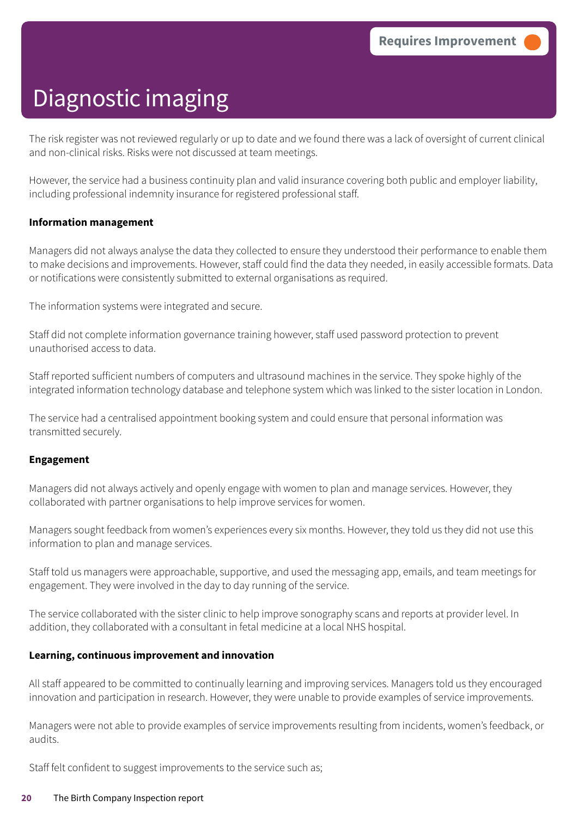The risk register was not reviewed regularly or up to date and we found there was a lack of oversight of current clinical and non-clinical risks. Risks were not discussed at team meetings.

However, the service had a business continuity plan and valid insurance covering both public and employer liability, including professional indemnity insurance for registered professional staff.

#### **Information management**

Managers did not always analyse the data they collected to ensure they understood their performance to enable them to make decisions and improvements. However, staff could find the data they needed, in easily accessible formats. Data or notifications were consistently submitted to external organisations as required.

The information systems were integrated and secure.

Staff did not complete information governance training however, staff used password protection to prevent unauthorised access to data.

Staff reported sufficient numbers of computers and ultrasound machines in the service. They spoke highly of the integrated information technology database and telephone system which was linked to the sister location in London.

The service had a centralised appointment booking system and could ensure that personal information was transmitted securely.

#### **Engagement**

Managers did not always actively and openly engage with women to plan and manage services. However, they collaborated with partner organisations to help improve services for women.

Managers sought feedback from women's experiences every six months. However, they told us they did not use this information to plan and manage services.

Staff told us managers were approachable, supportive, and used the messaging app, emails, and team meetings for engagement. They were involved in the day to day running of the service.

The service collaborated with the sister clinic to help improve sonography scans and reports at provider level. In addition, they collaborated with a consultant in fetal medicine at a local NHS hospital.

#### **Learning, continuous improvement and innovation**

All staff appeared to be committed to continually learning and improving services. Managers told us they encouraged innovation and participation in research. However, they were unable to provide examples of service improvements.

Managers were not able to provide examples of service improvements resulting from incidents, women's feedback, or audits.

Staff felt confident to suggest improvements to the service such as;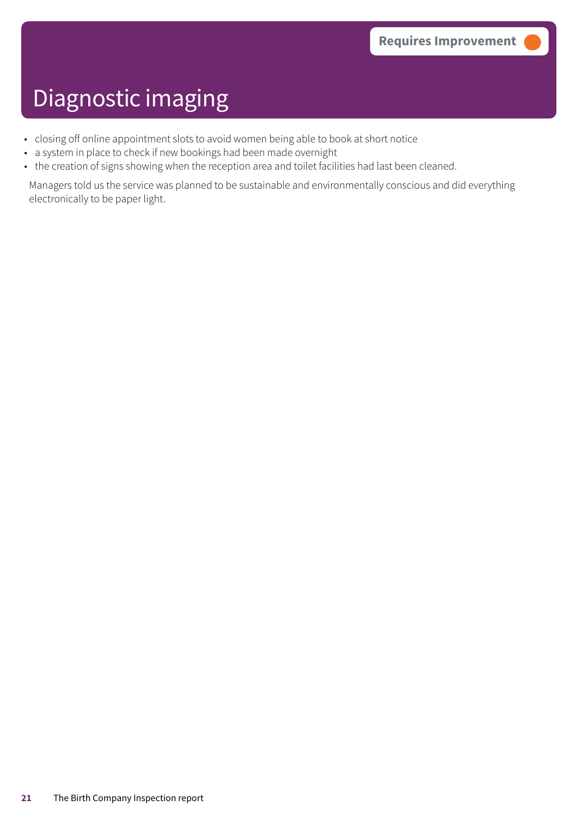- closing off online appointment slots to avoid women being able to book at short notice
- a system in place to check if new bookings had been made overnight
- the creation of signs showing when the reception area and toilet facilities had last been cleaned.

Managers told us the service was planned to be sustainable and environmentally conscious and did everything electronically to be paper light.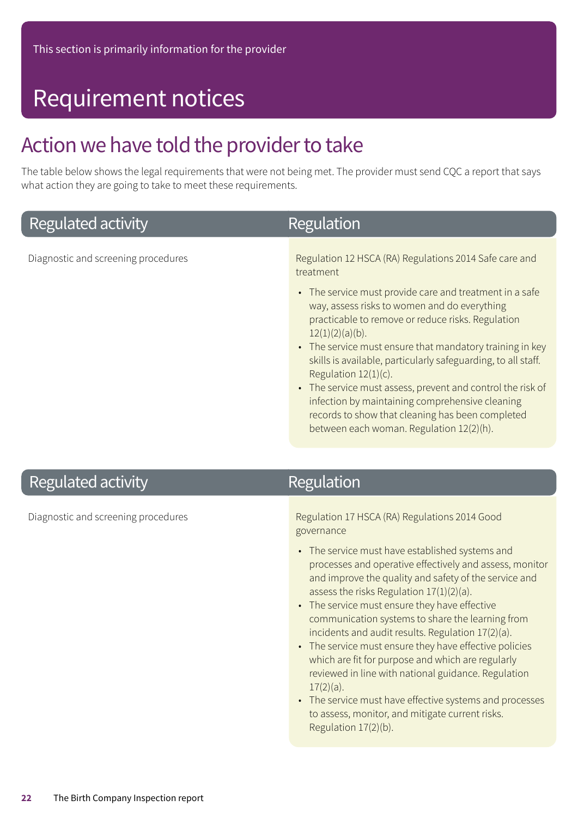### Requirement notices

### Action we have told the provider to take

The table below shows the legal requirements that were not being met. The provider must send CQC a report that says what action they are going to take to meet these requirements.

### **Regulated activity**

Regulation

Diagnostic and screening procedures **Regulation 12 HSCA (RA) Regulations 2014 Safe care and** treatment

- The service must provide care and treatment in a safe way, assess risks to women and do everything practicable to remove or reduce risks. Regulation  $12(1)(2)(a)(b)$ .
- The service must ensure that mandatory training in key skills is available, particularly safeguarding, to all staff. Regulation 12(1)(c).
- The service must assess, prevent and control the risk of infection by maintaining comprehensive cleaning records to show that cleaning has been completed between each woman. Regulation 12(2)(h).

### **Regulated activity**

### Regulation

Diagnostic and screening procedures **Regulation 17 HSCA (RA) Regulations 2014 Good** governance

- The service must have established systems and processes and operative effectively and assess, monitor and improve the quality and safety of the service and assess the risks Regulation 17(1)(2)(a).
- The service must ensure they have effective communication systems to share the learning from incidents and audit results. Regulation 17(2)(a).
- The service must ensure they have effective policies which are fit for purpose and which are regularly reviewed in line with national guidance. Regulation 17(2)(a).
- The service must have effective systems and processes to assess, monitor, and mitigate current risks. Regulation 17(2)(b).